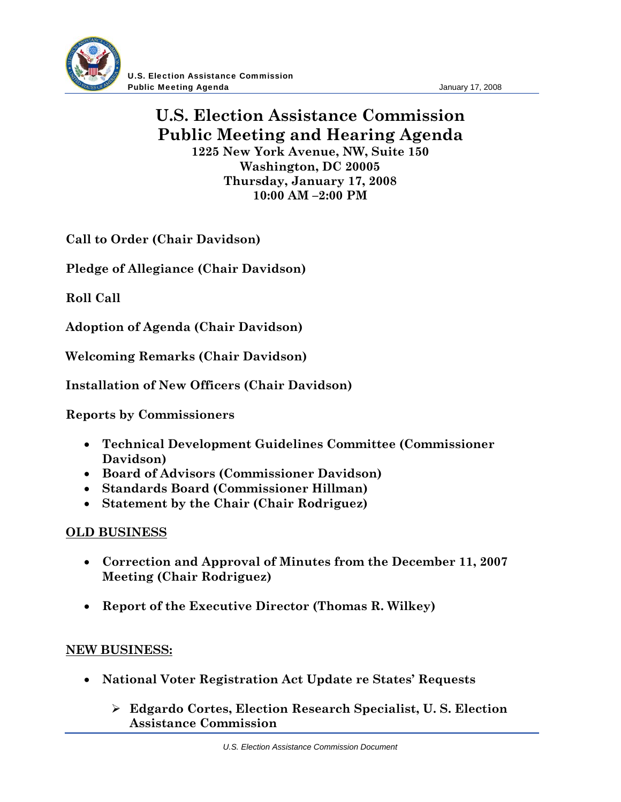

U.S. Election Assistance Commission **Public Meeting Agenda Contract Contract Contract Contract Contract Contract Contract Contract Contract Contract Contract Contract Contract Contract Contract Contract Contract Contract Contract Contract Contract Contract** 

## **U.S. Election Assistance Commission Public Meeting and Hearing Agenda 1225 New York Avenue, NW, Suite 150**

**Washington, DC 20005 Thursday, January 17, 2008 10:00 AM –2:00 PM** 

**Call to Order (Chair Davidson)**

**Pledge of Allegiance (Chair Davidson)** 

**Roll Call** 

**Adoption of Agenda (Chair Davidson)** 

**Welcoming Remarks (Chair Davidson)** 

**Installation of New Officers (Chair Davidson)** 

**Reports by Commissioners** 

- **Technical Development Guidelines Committee (Commissioner Davidson)**
- **Board of Advisors (Commissioner Davidson)**
- **Standards Board (Commissioner Hillman)**
- **Statement by the Chair (Chair Rodriguez)**

## **OLD BUSINESS**

- **Correction and Approval of Minutes from the December 11, 2007 Meeting (Chair Rodriguez)**
- **Report of the Executive Director (Thomas R. Wilkey)**

## **NEW BUSINESS:**

- **National Voter Registration Act Update re States' Requests** 
	- **Edgardo Cortes, Election Research Specialist, U. S. Election Assistance Commission**